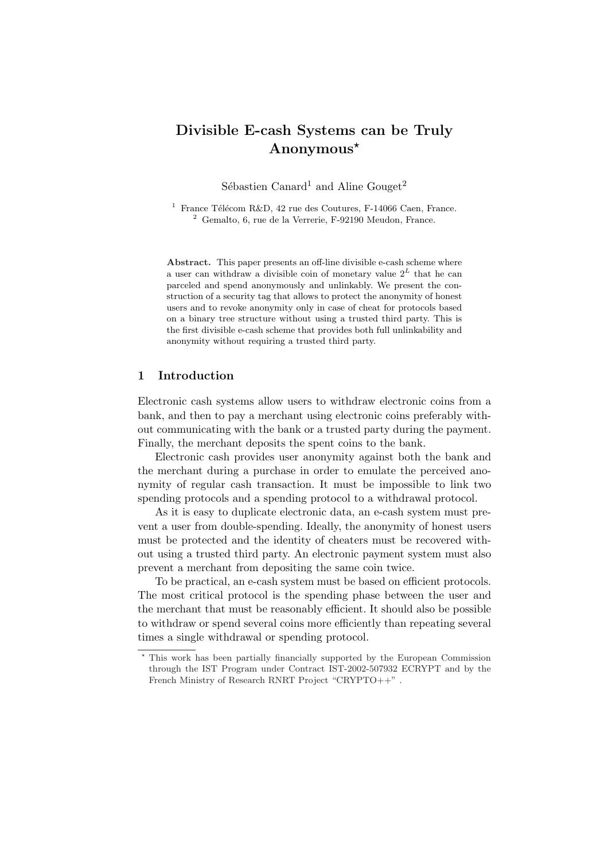# Divisible E-cash Systems can be Truly Anonymous<sup>\*</sup>

Sébastien Canard<sup>1</sup> and Aline Gouget<sup>2</sup>

<sup>1</sup> France Télécom R&D, 42 rue des Coutures, F-14066 Caen, France. <sup>2</sup> Gemalto, 6, rue de la Verrerie, F-92190 Meudon, France.

Abstract. This paper presents an off-line divisible e-cash scheme where a user can withdraw a divisible coin of monetary value  $2^L$  that he can parceled and spend anonymously and unlinkably. We present the construction of a security tag that allows to protect the anonymity of honest users and to revoke anonymity only in case of cheat for protocols based on a binary tree structure without using a trusted third party. This is the first divisible e-cash scheme that provides both full unlinkability and anonymity without requiring a trusted third party.

## 1 Introduction

Electronic cash systems allow users to withdraw electronic coins from a bank, and then to pay a merchant using electronic coins preferably without communicating with the bank or a trusted party during the payment. Finally, the merchant deposits the spent coins to the bank.

Electronic cash provides user anonymity against both the bank and the merchant during a purchase in order to emulate the perceived anonymity of regular cash transaction. It must be impossible to link two spending protocols and a spending protocol to a withdrawal protocol.

As it is easy to duplicate electronic data, an e-cash system must prevent a user from double-spending. Ideally, the anonymity of honest users must be protected and the identity of cheaters must be recovered without using a trusted third party. An electronic payment system must also prevent a merchant from depositing the same coin twice.

To be practical, an e-cash system must be based on efficient protocols. The most critical protocol is the spending phase between the user and the merchant that must be reasonably efficient. It should also be possible to withdraw or spend several coins more efficiently than repeating several times a single withdrawal or spending protocol.

<sup>?</sup> This work has been partially financially supported by the European Commission through the IST Program under Contract IST-2002-507932 ECRYPT and by the French Ministry of Research RNRT Project "CRYPTO++" .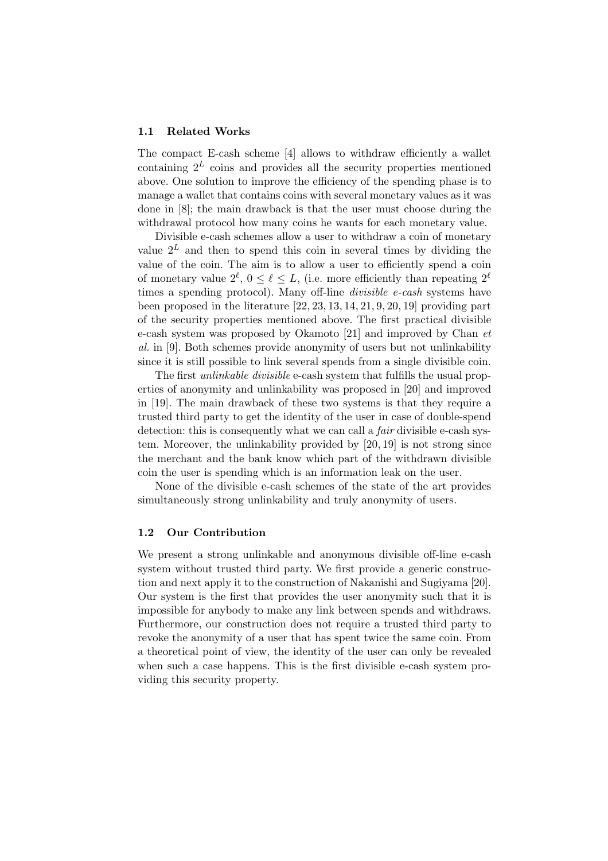#### 1.1 Related Works

The compact E-cash scheme [4] allows to withdraw efficiently a wallet containing  $2^L$  coins and provides all the security properties mentioned above. One solution to improve the efficiency of the spending phase is to manage a wallet that contains coins with several monetary values as it was done in [8]; the main drawback is that the user must choose during the withdrawal protocol how many coins he wants for each monetary value.

Divisible e-cash schemes allow a user to withdraw a coin of monetary value  $2^L$  and then to spend this coin in several times by dividing the value of the coin. The aim is to allow a user to efficiently spend a coin of monetary value  $2^{\ell}$ ,  $0 \leq \ell \leq L$ , (i.e. more efficiently than repeating  $2^{\ell}$ times a spending protocol). Many off-line *divisible e-cash* systems have been proposed in the literature [22, 23, 13, 14, 21, 9, 20, 19] providing part of the security properties mentioned above. The first practical divisible e-cash system was proposed by Okamoto [21] and improved by Chan et al. in [9]. Both schemes provide anonymity of users but not unlinkability since it is still possible to link several spends from a single divisible coin.

The first *unlinkable divisible* e-cash system that fulfills the usual properties of anonymity and unlinkability was proposed in [20] and improved in [19]. The main drawback of these two systems is that they require a trusted third party to get the identity of the user in case of double-spend detection: this is consequently what we can call a fair divisible e-cash system. Moreover, the unlinkability provided by [20, 19] is not strong since the merchant and the bank know which part of the withdrawn divisible coin the user is spending which is an information leak on the user.

None of the divisible e-cash schemes of the state of the art provides simultaneously strong unlinkability and truly anonymity of users.

#### 1.2 Our Contribution

We present a strong unlinkable and anonymous divisible off-line e-cash system without trusted third party. We first provide a generic construction and next apply it to the construction of Nakanishi and Sugiyama [20]. Our system is the first that provides the user anonymity such that it is impossible for anybody to make any link between spends and withdraws. Furthermore, our construction does not require a trusted third party to revoke the anonymity of a user that has spent twice the same coin. From a theoretical point of view, the identity of the user can only be revealed when such a case happens. This is the first divisible e-cash system providing this security property.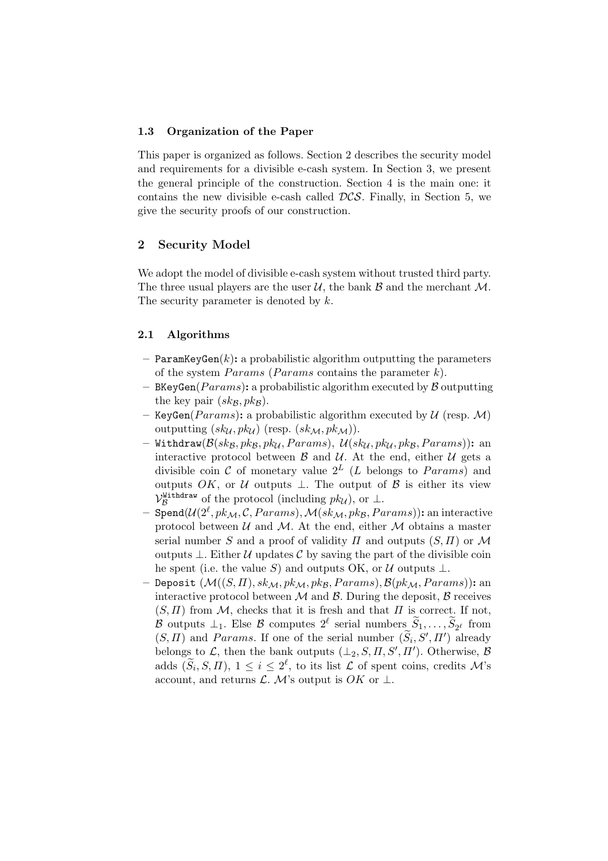# 1.3 Organization of the Paper

This paper is organized as follows. Section 2 describes the security model and requirements for a divisible e-cash system. In Section 3, we present the general principle of the construction. Section 4 is the main one: it contains the new divisible e-cash called  $DCS$ . Finally, in Section 5, we give the security proofs of our construction.

# 2 Security Model

We adopt the model of divisible e-cash system without trusted third party. The three usual players are the user U, the bank  $\beta$  and the merchant M. The security parameter is denoted by k.

# 2.1 Algorithms

- $-$  ParamKeyGen $(k)$ : a probabilistic algorithm outputting the parameters of the system *Params* (*Params* contains the parameter  $k$ ).
- BKeyGen( $Params$ ): a probabilistic algorithm executed by  $\beta$  outputting the key pair  $(s k_B, p k_B)$ .
- KeyGen( $Params$ ): a probabilistic algorithm executed by  $\mathcal{U}$  (resp.  $\mathcal{M}$ ) outputting  $(sk_{\mathcal{U}}, p k_{\mathcal{U}})$  (resp.  $(sk_{\mathcal{M}}, p k_{\mathcal{M}})$ ).
- Withdraw( $\mathcal{B}(sk_B, \allowbreak pk_B, \allowbreak pk_U, \allowbreak Params)$ ),  $\mathcal{U}(sk_U, \allowbreak pk_U, \allowbreak pk_U, \allowbreak pk_B, \allowbreak Params)$ ): an interactive protocol between  $\beta$  and  $\mathcal{U}$ . At the end, either  $\mathcal{U}$  gets a divisible coin  $\mathcal C$  of monetary value  $2^L$  (L belongs to Params) and outputs OK, or U outputs  $\perp$ . The output of B is either its view  $\mathcal{V}_{\mathcal{B}}^{\text{Without}}$  of the protocol (including  $pk_{\mathcal{U}}$ ), or  $\perp$ .
- $-$  Spend $(\mathcal{U}(2^\ell,pk_{\mathcal{M}},\mathcal{C},Params),\mathcal{M}(sk_{\mathcal{M}},pk_{\mathcal{B}},Params))$ : an interactive protocol between  $U$  and  $M$ . At the end, either  $M$  obtains a master serial number S and a proof of validity  $\Pi$  and outputs  $(S, \Pi)$  or M outputs  $\perp$ . Either U updates C by saving the part of the divisible coin he spent (i.e. the value S) and outputs OK, or  $\mathcal U$  outputs  $\bot$ .
- Deposit  $(\mathcal{M}((S,\Pi),sk_{\mathcal{M}},pk_{\mathcal{M}},pk_{\mathcal{B}},Parameters), \mathcal{B}(pk_{\mathcal{M}},Parameters))$ : an interactive protocol between  $M$  and  $B$ . During the deposit,  $B$  receives  $(S, \Pi)$  from M, checks that it is fresh and that  $\Pi$  is correct. If not, B outputs  $\perp_1$ . Else B computes  $2^{\ell}$  serial numbers  $\widetilde{S}_1, \ldots, \widetilde{S}_{2^{\ell}}$  from  $(S, \Pi)$  and Params. If one of the serial number  $(\widetilde{S}_i, S', \Pi')$  already belongs to  $\mathcal{L}$ , then the bank outputs  $(\perp_2, S, \Pi, S', \Pi')$ . Otherwise,  $\mathcal{B}$ adds  $(\widetilde{S}_i, S, \Pi)$ ,  $1 \leq i \leq 2^{\ell}$ , to its list  $\mathcal L$  of spent coins, credits  $\mathcal M$ 's account, and returns  $\mathcal{L}$ . M's output is OK or  $\perp$ .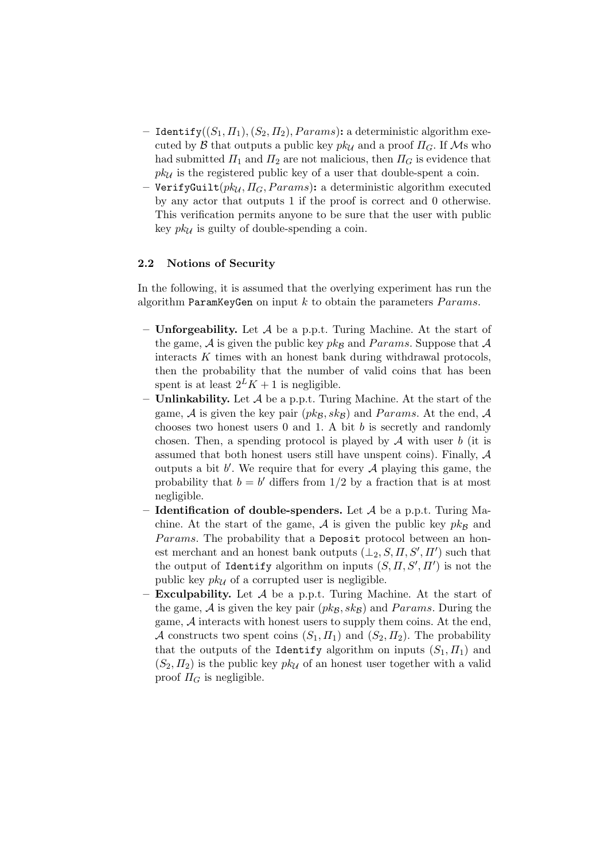- Identify $((S_1, \Pi_1), (S_2, \Pi_2),$  Params): a deterministic algorithm executed by  $\beta$  that outputs a public key  $pk_{\mathcal{U}}$  and a proof  $\Pi_G$ . If Ms who had submitted  $\Pi_1$  and  $\Pi_2$  are not malicious, then  $\Pi_G$  is evidence that  $pk_{\mathcal{U}}$  is the registered public key of a user that double-spent a coin.
- VerifyGuilt( $pk_{\mathcal{U}}, \Pi_G, \text{Parameters}$ ): a deterministic algorithm executed by any actor that outputs 1 if the proof is correct and 0 otherwise. This verification permits anyone to be sure that the user with public key  $pk_{\mathcal{U}}$  is guilty of double-spending a coin.

# 2.2 Notions of Security

In the following, it is assumed that the overlying experiment has run the algorithm ParamKeyGen on input  $k$  to obtain the parameters  $Params$ .

- Unforgeability. Let  $A$  be a p.p.t. Turing Machine. At the start of the game, A is given the public key  $pk_B$  and Params. Suppose that A interacts  $K$  times with an honest bank during withdrawal protocols, then the probability that the number of valid coins that has been spent is at least  $2^L K + 1$  is negligible.
- Unlinkability. Let  $A$  be a p.p.t. Turing Machine. At the start of the game, A is given the key pair  $(pk_B, sk_B)$  and Params. At the end, A chooses two honest users 0 and 1. A bit b is secretly and randomly chosen. Then, a spending protocol is played by  $A$  with user  $b$  (it is assumed that both honest users still have unspent coins). Finally, A outputs a bit  $b'$ . We require that for every  $A$  playing this game, the probability that  $b = b'$  differs from  $1/2$  by a fraction that is at most negligible.
- Identification of double-spenders. Let  $A$  be a p.p.t. Turing Machine. At the start of the game, A is given the public key  $pk_B$  and Params. The probability that a Deposit protocol between an honest merchant and an honest bank outputs  $(\perp_2, S, \Pi, S', \Pi')$  such that the output of Identify algorithm on inputs  $(S, \Pi, S', \Pi')$  is not the public key  $pk_{\mathcal{U}}$  of a corrupted user is negligible.
- Exculpability. Let  $A$  be a p.p.t. Turing Machine. At the start of the game,  $A$  is given the key pair  $(pkg, sk_B)$  and Params. During the game, A interacts with honest users to supply them coins. At the end, A constructs two spent coins  $(S_1, \Pi_1)$  and  $(S_2, \Pi_2)$ . The probability that the outputs of the Identify algorithm on inputs  $(S_1, \Pi_1)$  and  $(S_2, \Pi_2)$  is the public key  $pk_{\mathcal{U}}$  of an honest user together with a valid proof  $\Pi_G$  is negligible.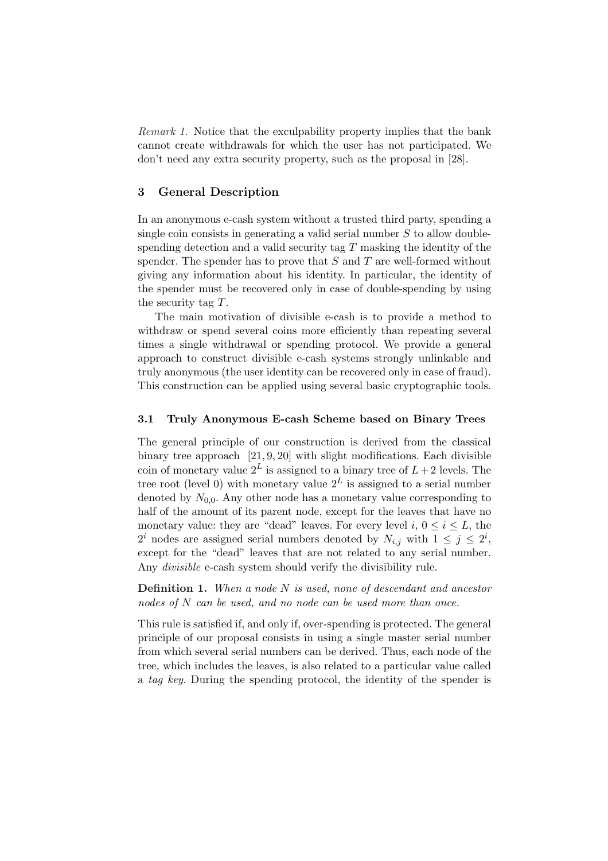Remark 1. Notice that the exculpability property implies that the bank cannot create withdrawals for which the user has not participated. We don't need any extra security property, such as the proposal in [28].

# 3 General Description

In an anonymous e-cash system without a trusted third party, spending a single coin consists in generating a valid serial number  $S$  to allow doublespending detection and a valid security tag  $T$  masking the identity of the spender. The spender has to prove that  $S$  and  $T$  are well-formed without giving any information about his identity. In particular, the identity of the spender must be recovered only in case of double-spending by using the security tag T.

The main motivation of divisible e-cash is to provide a method to withdraw or spend several coins more efficiently than repeating several times a single withdrawal or spending protocol. We provide a general approach to construct divisible e-cash systems strongly unlinkable and truly anonymous (the user identity can be recovered only in case of fraud). This construction can be applied using several basic cryptographic tools.

# 3.1 Truly Anonymous E-cash Scheme based on Binary Trees

The general principle of our construction is derived from the classical binary tree approach [21, 9, 20] with slight modifications. Each divisible coin of monetary value  $2^L$  is assigned to a binary tree of  $L+2$  levels. The tree root (level 0) with monetary value  $2^L$  is assigned to a serial number denoted by  $N_{0,0}$ . Any other node has a monetary value corresponding to half of the amount of its parent node, except for the leaves that have no monetary value: they are "dead" leaves. For every level  $i, 0 \le i \le L$ , the  $2^i$  nodes are assigned serial numbers denoted by  $N_{i,j}$  with  $1 \leq j \leq 2^i$ , except for the "dead" leaves that are not related to any serial number. Any *divisible* e-cash system should verify the divisibility rule.

**Definition 1.** When a node  $N$  is used, none of descendant and ancestor nodes of N can be used, and no node can be used more than once.

This rule is satisfied if, and only if, over-spending is protected. The general principle of our proposal consists in using a single master serial number from which several serial numbers can be derived. Thus, each node of the tree, which includes the leaves, is also related to a particular value called a tag key. During the spending protocol, the identity of the spender is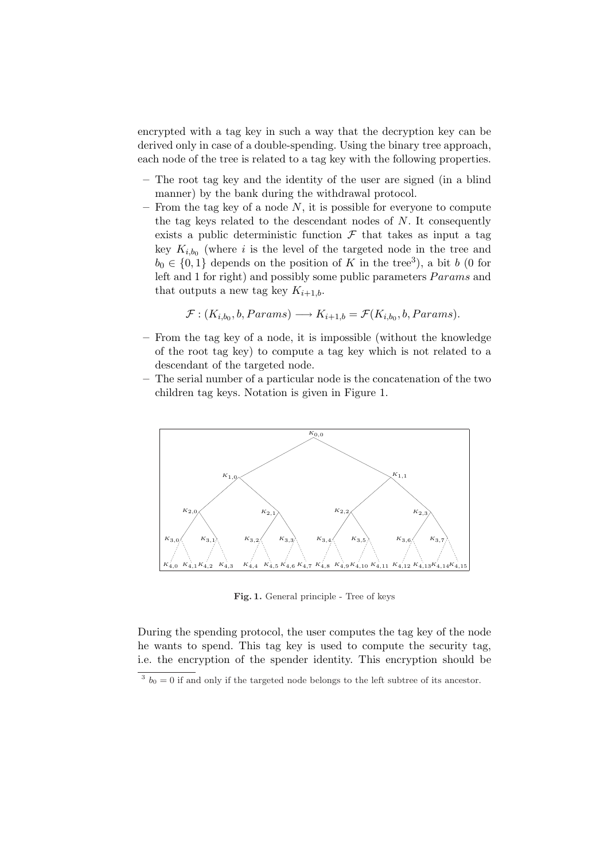encrypted with a tag key in such a way that the decryption key can be derived only in case of a double-spending. Using the binary tree approach, each node of the tree is related to a tag key with the following properties.

- The root tag key and the identity of the user are signed (in a blind manner) by the bank during the withdrawal protocol.
- $-$  From the tag key of a node N, it is possible for everyone to compute the tag keys related to the descendant nodes of  $N$ . It consequently exists a public deterministic function  $\mathcal F$  that takes as input a tag key  $K_{i,b_0}$  (where i is the level of the targeted node in the tree and  $b_0 \in \{0,1\}$  depends on the position of K in the tree<sup>3</sup>), a bit b (0 for left and 1 for right) and possibly some public parameters  $Params$  and that outputs a new tag key  $K_{i+1,b}$ .

$$
\mathcal{F}: (K_{i,b_0}, b, Params) \longrightarrow K_{i+1,b} = \mathcal{F}(K_{i,b_0}, b, Params).
$$

- From the tag key of a node, it is impossible (without the knowledge of the root tag key) to compute a tag key which is not related to a descendant of the targeted node.
- The serial number of a particular node is the concatenation of the two children tag keys. Notation is given in Figure 1.



Fig. 1. General principle - Tree of keys

During the spending protocol, the user computes the tag key of the node he wants to spend. This tag key is used to compute the security tag, i.e. the encryption of the spender identity. This encryption should be

 $3 b_0 = 0$  if and only if the targeted node belongs to the left subtree of its ancestor.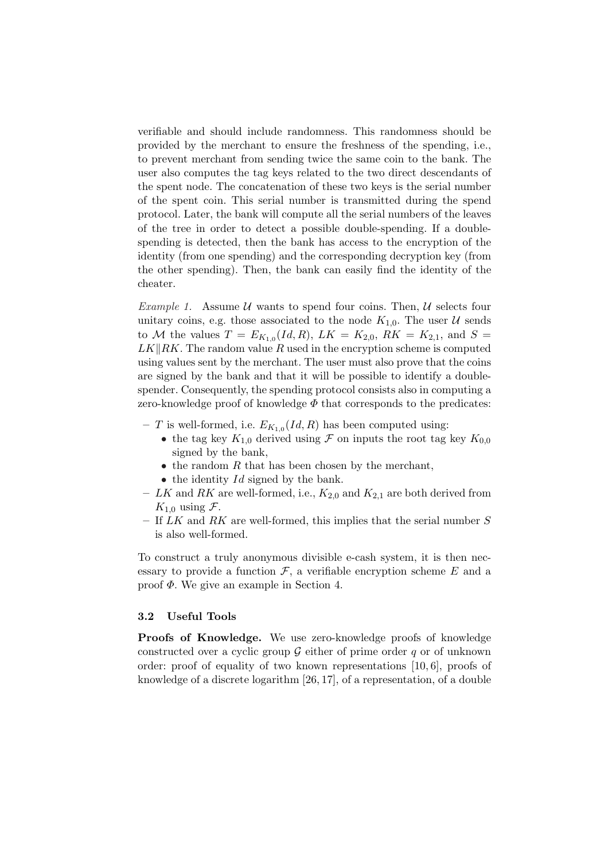verifiable and should include randomness. This randomness should be provided by the merchant to ensure the freshness of the spending, i.e., to prevent merchant from sending twice the same coin to the bank. The user also computes the tag keys related to the two direct descendants of the spent node. The concatenation of these two keys is the serial number of the spent coin. This serial number is transmitted during the spend protocol. Later, the bank will compute all the serial numbers of the leaves of the tree in order to detect a possible double-spending. If a doublespending is detected, then the bank has access to the encryption of the identity (from one spending) and the corresponding decryption key (from the other spending). Then, the bank can easily find the identity of the cheater.

Example 1. Assume  $U$  wants to spend four coins. Then,  $U$  selects four unitary coins, e.g. those associated to the node  $K_{1,0}$ . The user U sends to M the values  $T = E_{K_{1,0}}(Id, R)$ ,  $LK = K_{2,0}$ ,  $RK = K_{2,1}$ , and  $S =$  $LK\|RK\$ . The random value R used in the encryption scheme is computed using values sent by the merchant. The user must also prove that the coins are signed by the bank and that it will be possible to identify a doublespender. Consequently, the spending protocol consists also in computing a zero-knowledge proof of knowledge  $\Phi$  that corresponds to the predicates:

- T is well-formed, i.e.  $E_{K_{1,0}}(Id, R)$  has been computed using:
	- the tag key  $K_{1,0}$  derived using  $\mathcal F$  on inputs the root tag key  $K_{0,0}$ signed by the bank,
	- $\bullet$  the random  $R$  that has been chosen by the merchant,
	- $\bullet$  the identity  $Id$  signed by the bank.
- LK and RK are well-formed, i.e.,  $K_{2,0}$  and  $K_{2,1}$  are both derived from  $K_{1,0}$  using  $\mathcal{F}.$
- If LK and RK are well-formed, this implies that the serial number  $S$ is also well-formed.

To construct a truly anonymous divisible e-cash system, it is then necessary to provide a function  $\mathcal{F}$ , a verifiable encryption scheme  $E$  and a proof  $\Phi$ . We give an example in Section 4.

#### 3.2 Useful Tools

Proofs of Knowledge. We use zero-knowledge proofs of knowledge constructed over a cyclic group  $\mathcal G$  either of prime order q or of unknown order: proof of equality of two known representations [10, 6], proofs of knowledge of a discrete logarithm [26, 17], of a representation, of a double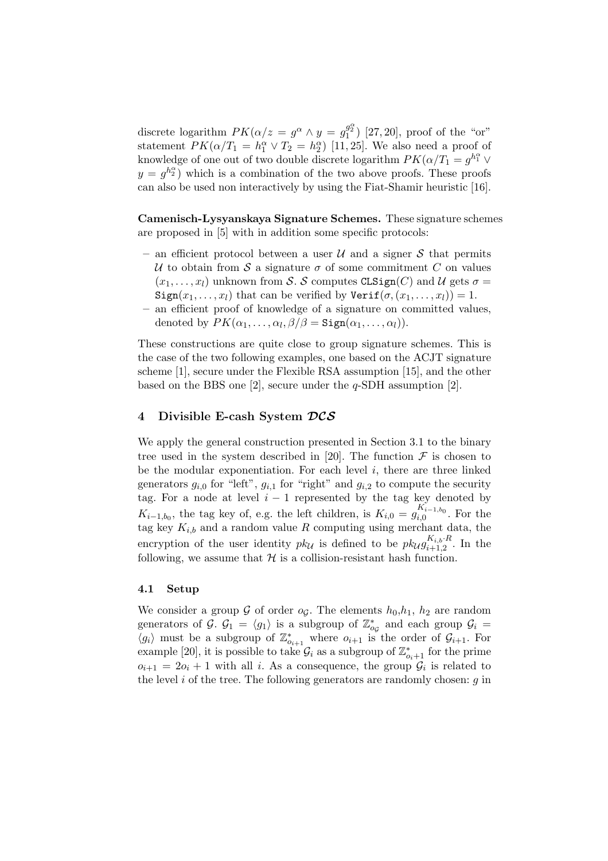discrete logarithm  $PK(\alpha/z = g^{\alpha} \wedge y = g_1^{g_2^{\alpha}})$  [27, 20], proof of the "or" statement  $PK(\alpha/T_1 = h_1^{\alpha} \vee T_2 = h_2^{\alpha})$  [11, 25]. We also need a proof of knowledge of one out of two double discrete logarithm  $PK(\alpha/T_1 = g^{h_1^{\alpha}} \vee$  $y = g^{h_2^{\alpha}}$  which is a combination of the two above proofs. These proofs can also be used non interactively by using the Fiat-Shamir heuristic [16].

Camenisch-Lysyanskaya Signature Schemes. These signature schemes are proposed in [5] with in addition some specific protocols:

- an efficient protocol between a user  $\mathcal U$  and a signer  $\mathcal S$  that permits U to obtain from S a signature  $\sigma$  of some commitment C on values  $(x_1, \ldots, x_l)$  unknown from S. S computes CLSign(C) and U gets  $\sigma =$  $Sign(x_1, \ldots, x_l)$  that can be verified by  $Verifyerif(\sigma, (x_1, \ldots, x_l)) = 1$ .
- an efficient proof of knowledge of a signature on committed values, denoted by  $PK(\alpha_1,\ldots,\alpha_l,\beta/\beta=\texttt{Sign}(\alpha_1,\ldots,\alpha_l)).$

These constructions are quite close to group signature schemes. This is the case of the two following examples, one based on the ACJT signature scheme [1], secure under the Flexible RSA assumption [15], and the other based on the BBS one [2], secure under the q-SDH assumption [2].

# 4 Divisible E-cash System  $DCS$

We apply the general construction presented in Section 3.1 to the binary tree used in the system described in [20]. The function  $\mathcal F$  is chosen to be the modular exponentiation. For each level  $i$ , there are three linked generators  $g_{i,0}$  for "left",  $g_{i,1}$  for "right" and  $g_{i,2}$  to compute the security tag. For a node at level  $i - 1$  represented by the tag key denoted by  $K_{i-1,b_0}$ , the tag key of, e.g. the left children, is  $K_{i,0} = g_{i,0}^{K_{i-1,b_0}}$ . For the tag key  $K_{i,b}$  and a random value R computing using merchant data, the encryption of the user identity  $pk_{\mathcal{U}}$  is defined to be  $pk_{\mathcal{U}}g_{i+1,2}^{K_{i,b}\cdot R}$  $\frac{R_{i,b}R_i}{i+1,2}$ . In the following, we assume that  $H$  is a collision-resistant hash function.

#### 4.1 Setup

We consider a group G of order  $o<sub>G</sub>$ . The elements  $h<sub>0</sub>, h<sub>1</sub>, h<sub>2</sub>$  are random generators of  $\mathcal{G}$ .  $\mathcal{G}_1 = \langle g_1 \rangle$  is a subgroup of  $\mathbb{Z}_{og}^*$  and each group  $\mathcal{G}_i =$  $\langle g_i \rangle$  must be a subgroup of  $\mathbb{Z}_{o_{i+1}}^*$  where  $o_{i+1}$  is the order of  $\mathcal{G}_{i+1}$ . For example [20], it is possible to take  $\mathcal{G}_i$  as a subgroup of  $\mathbb{Z}_{o_i+1}^*$  for the prime  $o_{i+1} = 2o_i + 1$  with all i. As a consequence, the group  $\mathcal{G}_i$  is related to the level i of the tree. The following generators are randomly chosen:  $q$  in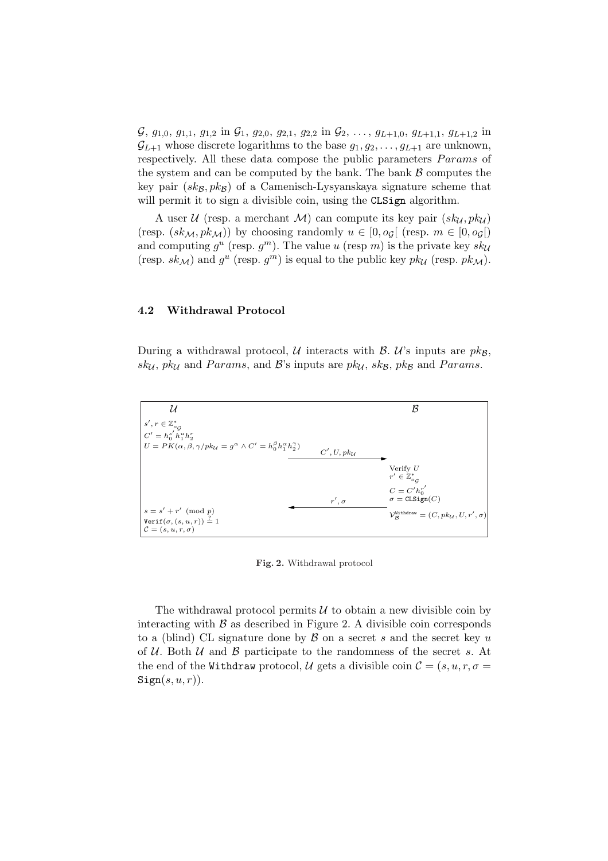$\mathcal{G}, g_{1,0}, g_{1,1}, g_{1,2}$  in  $\mathcal{G}_1, g_{2,0}, g_{2,1}, g_{2,2}$  in  $\mathcal{G}_2, \ldots, g_{L+1,0}, g_{L+1,1}, g_{L+1,2}$  in  $\mathcal{G}_{L+1}$  whose discrete logarithms to the base  $g_1, g_2, \ldots, g_{L+1}$  are unknown, respectively. All these data compose the public parameters Params of the system and can be computed by the bank. The bank  $\beta$  computes the key pair  $(skg, pk)$  of a Camenisch-Lysyanskaya signature scheme that will permit it to sign a divisible coin, using the CLSign algorithm.

A user U (resp. a merchant M) can compute its key pair  $(s k_{\mathcal{U}}, p k_{\mathcal{U}})$ (resp.  $(sk_{\mathcal{M}}, pk_{\mathcal{M}})$ ) by choosing randomly  $u \in [0, o_{\mathcal{G}}]$  (resp.  $m \in [0, o_{\mathcal{G}}]$ ) and computing  $g^u$  (resp.  $g^m$ ). The value u (resp m) is the private key  $sku$ (resp.  $sk_{\mathcal{M}}$ ) and  $g^u$  (resp.  $g^m$ ) is equal to the public key  $pk_{\mathcal{U}}$  (resp.  $pk_{\mathcal{M}}$ ).

## 4.2 Withdrawal Protocol

During a withdrawal protocol,  $U$  interacts with  $B$ .  $U$ 's inputs are  $pk_B$ ,  $sk_{\mathcal{U}}, \, pk_{\mathcal{U}}$  and Params, and B's inputs are  $pk_{\mathcal{U}}, \, sk_{\mathcal{B}}, \, pk_{\mathcal{B}}$  and Params.



Fig. 2. Withdrawal protocol

The withdrawal protocol permits  $\mathcal U$  to obtain a new divisible coin by interacting with  $\beta$  as described in Figure 2. A divisible coin corresponds to a (blind) CL signature done by  $\beta$  on a secret s and the secret key u of  $U$ . Both  $U$  and  $B$  participate to the randomness of the secret s. At the end of the Withdraw protocol, U gets a divisible coin  $\mathcal{C} = (s, u, r, \sigma =$  $Sign(s, u, r)$ .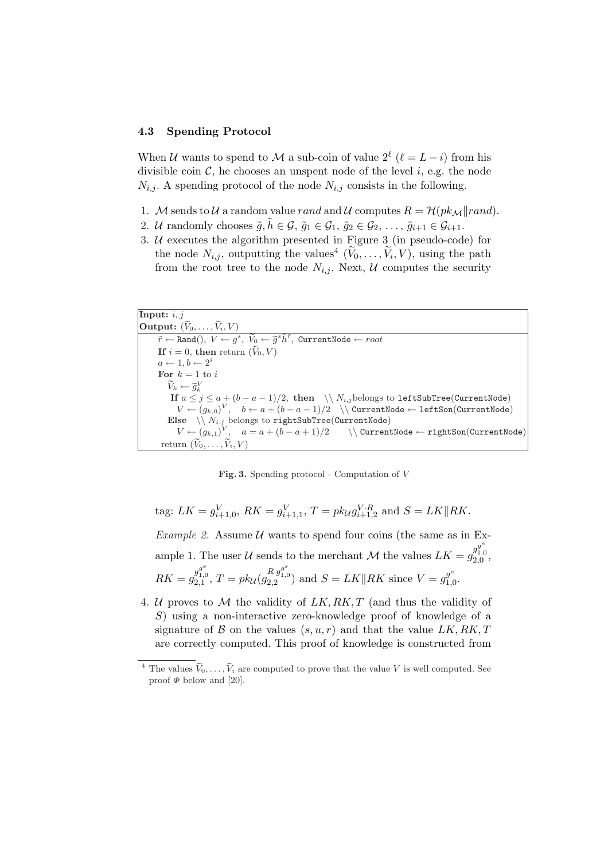## 4.3 Spending Protocol

When U wants to spend to M a sub-coin of value  $2^{\ell}$  ( $\ell = L - i$ ) from his divisible coin  $\mathcal{C}$ , he chooses an unspent node of the level i, e.g. the node  $N_{i,j}$ . A spending protocol of the node  $N_{i,j}$  consists in the following.

- 1. M sends to U a random value rand and U computes  $R = \mathcal{H}(pk_{\mathcal{M}}||rand)$ .
- 2. U randomly chooses  $\tilde{g}, \tilde{h} \in \mathcal{G}, \tilde{g}_1 \in \mathcal{G}_1, \tilde{g}_2 \in \mathcal{G}_2, \ldots, \tilde{g}_{i+1} \in \mathcal{G}_{i+1}.$
- 3. U executes the algorithm presented in Figure 3 (in pseudo-code) for the node  $N_{i,j}$ , outputting the values<sup>4</sup>  $(\widetilde{V}_0, \ldots, \widetilde{V}_i, V)$ , using the path from the root tree to the node  $N_{i,j}$ . Next,  $\mathcal U$  computes the security

```
Input: i, jOutput: (\widetilde{V}_0, \ldots, \widetilde{V}_i, V)\tilde{r} \leftarrow \texttt{Rand}( ),\; V \leftarrow g^s,\; \widetilde{V}_0 \leftarrow \widetilde{g}^s \tilde{h}^{\tilde{r}},\; \texttt{CurrentNode} \leftarrow rootIf i = 0, then return (\widetilde{V}_0, V)a \leftarrow 1, b \leftarrow 2^iFor k = 1 to i
        \widetilde{V}_k \leftarrow \widetilde{g}_k^VIf a \leq j \leq a + (b - a - 1)/2, then \setminus \bigwedge N_{i,j} belongs to leftSubTree(CurrentNode)
            V \leftarrow (g_{k,0})^V, \quad b \leftarrow a + (b - a - 1)/2 \quad \backslash \backslash \text{ CurrentNode} \leftarrow \text{leftSon}(\text{CurrentNode})Else \setminus N_{i,j} belongs to rightSubTree(CurrentNode)
            V \leftarrow (g_{k,1})^V\setminus \setminus CurrentNode ← rightSon(CurrentNode)
     return (\widetilde{V}_0, \ldots, \widetilde{V}_i, V)
```
Fig. 3. Spending protocol - Computation of V

tag: 
$$
LK = g_{i+1,0}^V
$$
,  $RK = g_{i+1,1}^V$ ,  $T = pk_{\mathcal{U}}g_{i+1,2}^{V \cdot R}$  and  $S = LK||RK$ .

*Example 2.* Assume  $U$  wants to spend four coins (the same as in Example 1. The user U sends to the merchant M the values  $LK = g_{2,0}^{q_{3}^{s}}$  $\frac{g_{1,0}}{2,0}$  ,  $RK = g_{2,1}^{g_{1,(0)}^{g^s}}$  $g_{1,0}^{g^s}_{1,0}, T = pk_{\mathcal{U}}(g_{2,2}^{R \cdot g_{1,0}^{g^s}})$  $\sum_{i=2,2}^{R \cdot g_{1,0}^q}$  and  $S = LK||RK$  since  $V = g_{1,0}^{g^s}$  $_{1,0}^{g}$ .

4. U proves to M the validity of  $LK, RK, T$  (and thus the validity of S) using a non-interactive zero-knowledge proof of knowledge of a signature of B on the values  $(s, u, r)$  and that the value LK, RK, T are correctly computed. This proof of knowledge is constructed from

<sup>&</sup>lt;sup>4</sup> The values  $\widetilde{V}_0, \ldots, \widetilde{V}_i$  are computed to prove that the value V is well computed. See proof  $\Phi$  below and [20].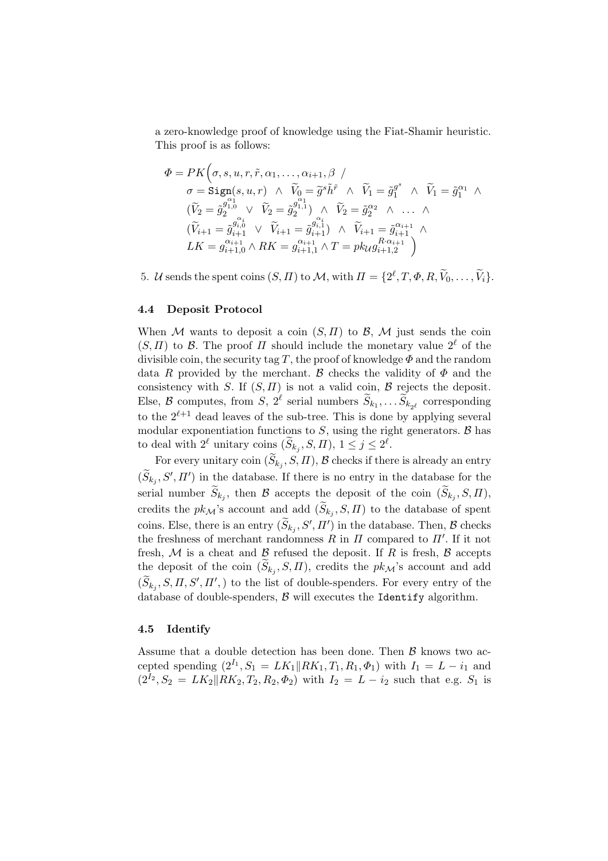a zero-knowledge proof of knowledge using the Fiat-Shamir heuristic. This proof is as follows:

$$
\Phi = PK\left(\sigma, s, u, r, \tilde{r}, \alpha_1, \dots, \alpha_{i+1}, \beta \middle| \right)
$$
\n
$$
\sigma = \text{Sign}(s, u, r) \land \widetilde{V}_0 = \widetilde{g}^s \widetilde{h}^{\tilde{r}} \land \widetilde{V}_1 = \widetilde{g}_1^{g^s} \land \widetilde{V}_1 = \widetilde{g}_1^{\alpha_1} \land \widetilde{V}_2 = \widetilde{g}_2^{\alpha_1} \land \widetilde{V}_2 = \widetilde{g}_2^{\alpha_1} \land \widetilde{V}_2 = \widetilde{g}_2^{\alpha_2} \land \dots \land \widetilde{V}_{i+1} = \widetilde{g}_{i+1}^{\alpha_{i}^{(i)}} \lor \widetilde{V}_{i+1} = \widetilde{g}_{i+1}^{\alpha_{i}^{(i)}} \land \widetilde{V}_{i+1} = \widetilde{g}_{i+1}^{\alpha_{i+1}} \land \widetilde{V}_{i+1} = \widetilde{g}_{i+1}^{\alpha_{i+1}} \land \widetilde{K} = g_{i+1,0}^{\alpha_{i+1}} \land \widetilde{R}K = g_{i+1,1}^{\alpha_{i+1}} \land T = pku g_{i+1,2}^{R \alpha_{i+1}}\right)
$$

5. U sends the spent coins  $(S, \Pi)$  to M, with  $\Pi = \{2^{\ell}, T, \Phi, R, \widetilde{V}_0, \ldots, \widetilde{V}_i\}.$ 

#### 4.4 Deposit Protocol

When M wants to deposit a coin  $(S, \Pi)$  to B, M just sends the coin  $(S, \Pi)$  to B. The proof  $\Pi$  should include the monetary value  $2^{\ell}$  of the divisible coin, the security tag T, the proof of knowledge  $\Phi$  and the random data R provided by the merchant. B checks the validity of  $\Phi$  and the consistency with S. If  $(S, \Pi)$  is not a valid coin, B rejects the deposit. Else,  $\mathcal{B}$  computes, from  $S, 2^{\ell}$  serial numbers  $\widetilde{S}_{k_1}, \ldots \widetilde{S}_{k_{2^{\ell}}}$  corresponding to the  $2^{\ell+1}$  dead leaves of the sub-tree. This is done by applying several modular exponentiation functions to  $S$ , using the right generators.  $\beta$  has to deal with  $2^{\ell}$  unitary coins  $(\widetilde{S}_{k_j}, S, \Pi), 1 \leq j \leq 2^{\ell}$ .

For every unitary coin  $(\widetilde{S}_{k_j},S,\Pi)$ ,  $\mathcal B$  checks if there is already an entry  $(\widetilde{S}_{k_j}, S', \Pi')$  in the database. If there is no entry in the database for the serial number  $\widetilde{S}_{k_j}$ , then  $\mathcal B$  accepts the deposit of the coin  $(\widetilde{S}_{k_j},S,\Pi)$ , credits the  $pk_{\mathcal{M}}$ 's account and add  $(\widetilde{S}_{k_j}, S, \Pi)$  to the database of spent coins. Else, there is an entry  $(\widetilde{S}_{k_j},S',\Pi')$  in the database. Then,  $\mathcal B$  checks the freshness of merchant randomness R in  $\Pi$  compared to  $\Pi'$ . If it not fresh,  $M$  is a cheat and  $\beta$  refused the deposit. If R is fresh,  $\beta$  accepts the deposit of the coin  $(\widetilde{S}_{k_j},S,\Pi)$ , credits the  $pk_{\mathcal{M}}$ 's account and add  $(\widetilde{S}_{k_j}, S, \Pi, S', \Pi')$  to the list of double-spenders. For every entry of the database of double-spenders,  $\beta$  will executes the Identify algorithm.

#### 4.5 Identify

Assume that a double detection has been done. Then  $\beta$  knows two accepted spending  $(2^{I_1}, S_1 = LK_1||RK_1, T_1, R_1, \Phi_1)$  with  $I_1 = L - i_1$  and  $(2^{I_2}, S_2 = LK_2||RK_2, T_2, R_2, \Phi_2)$  with  $I_2 = L - i_2$  such that e.g.  $S_1$  is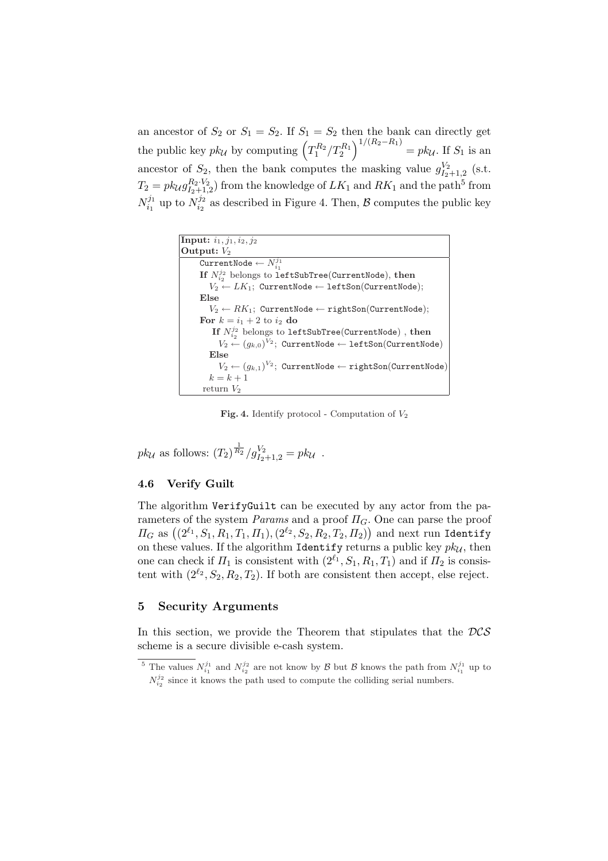an ancestor of  $S_2$  or  $S_1 = S_2$ . If  $S_1 = S_2$  then the bank can directly get the public key  $pk_{\mathcal{U}}$  by computing  $\left(T_1^{R_2}/T_2^{R_1}\right)$  $\chi$  1/(R<sub>2</sub>−R<sub>1</sub>)  $= p k_{\mathcal{U}}$ . If  $S_1$  is an ancestor of  $S_2$ , then the bank computes the masking value  $g_{I_2}^{V_2}$  $\frac{V_2}{I_2+1,2}$  (s.t.  $T_2 = pk_{\mathcal{U}} g_{I_2+1}^{R_2 \cdot V_2}$  $\frac{R_2 \cdot V_2}{I_2 + 1,2}$  from the knowledge of  $LK_1$  and  $RK_1$  and the path<sup>5</sup> from  $N_i^{j_1}$  $\frac{j_1}{i_1}$  up to  $N_{i_2}^{j_2}$  $\frac{1}{2}i_2$  as described in Figure 4. Then,  $\beta$  computes the public key

```
Input: i_1, j_1, i_2, j_2Output: V_2\overline{\text{CurrentNode} \leftarrow N_{i_1}^{j_1}}If N_{i_2}^{j_2} belongs to leftSubTree(CurrentNode), then
   V_2 \leftarrow LK_1; CurrentNode ← leftSon(CurrentNode);
Else
   V_2 \leftarrow RK_1; CurrentNode ← rightSon(CurrentNode);
For k = i_1 + 2 to i_2 do
     If N_{i_2}^{j_2} belongs to leftSubTree(CurrentNode), then
       V_2 \overset{\sim}{\leftarrow} (g_{k,0})^{V_2}; CurrentNode \leftarrow leftSon(\texttt{CurrentNode})Else
       V_2 \leftarrow (g_{k,1})^{V_2}; CurrentNode \leftarrow rightSon(CurrentNode)
   k = k + 1return V_2
```
**Fig. 4.** Identify protocol - Computation of  $V_2$ 

 $pk_{\mathcal{U}}$  as follows:  $(T_2)^{\frac{1}{R_2}}/g_{I_2+1,2}^{V_2}=pk_{\mathcal{U}}$ .

# 4.6 Verify Guilt

The algorithm VerifyGuilt can be executed by any actor from the parameters of the system *Params* and a proof  $\Pi_G$ . One can parse the proof rameters of the system *Params* and a proof  $H_G$ . One can parse the proof  $H_G$  as  $((2^{\ell_1}, S_1, R_1, T_1, H_1), (2^{\ell_2}, S_2, R_2, T_2, H_2))$  and next run Identify on these values. If the algorithm Identify returns a public key  $pk_{\mathcal{U}}$ , then one can check if  $\Pi_1$  is consistent with  $(2^{\ell_1}, S_1, R_1, T_1)$  and if  $\Pi_2$  is consistent with  $(2^{\ell_2}, S_2, R_2, T_2)$ . If both are consistent then accept, else reject.

#### 5 Security Arguments

In this section, we provide the Theorem that stipulates that the  $DCS$ scheme is a secure divisible e-cash system.

<sup>&</sup>lt;sup>5</sup> The values  $N_{i_1}^{j_1}$  and  $N_{i_2}^{j_2}$  are not know by  $\beta$  but  $\beta$  knows the path from  $N_{i_1}^{j_1}$  up to  ${\cal N}_{i_2}^{j_2}$  since it knows the path used to compute the colliding serial numbers.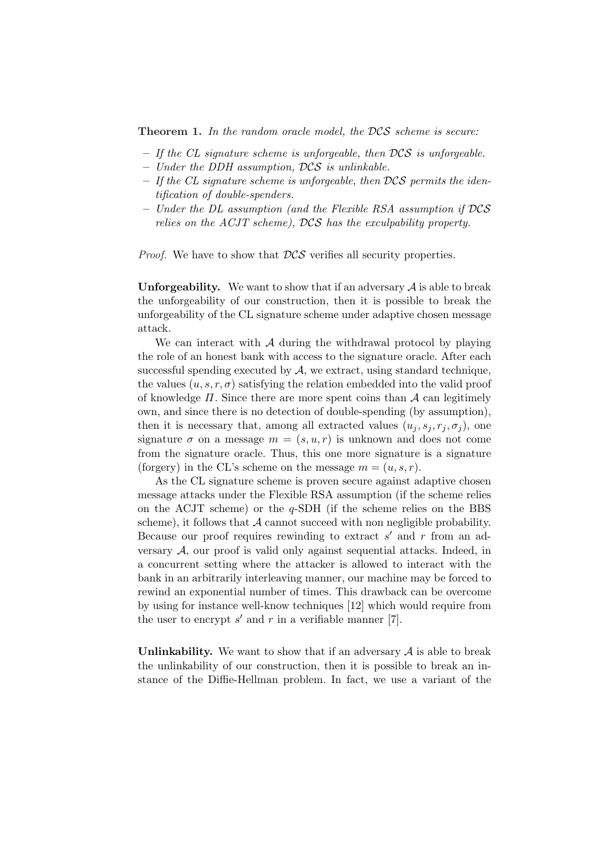Theorem 1. In the random oracle model, the DCS scheme is secure:

- $-$  If the CL signature scheme is unforgeable, then  $DCS$  is unforgeable.
- $-$  Under the DDH assumption,  $DCS$  is unlinkable.
- $-$  If the CL signature scheme is unforgeable, then  $DCS$  permits the identification of double-spenders.
- $-$  Under the DL assumption (and the Flexible RSA assumption if  $DCS$ relies on the ACJT scheme), DCS has the exculpability property.

Proof. We have to show that  $DCS$  verifies all security properties.

**Unforgeability.** We want to show that if an adversary  $\mathcal A$  is able to break the unforgeability of our construction, then it is possible to break the unforgeability of the CL signature scheme under adaptive chosen message attack.

We can interact with A during the withdrawal protocol by playing the role of an honest bank with access to the signature oracle. After each successful spending executed by  $A$ , we extract, using standard technique, the values  $(u, s, r, \sigma)$  satisfying the relation embedded into the valid proof of knowledge  $\Pi$ . Since there are more spent coins than  $\mathcal A$  can legitimely own, and since there is no detection of double-spending (by assumption), then it is necessary that, among all extracted values  $(u_i, s_i, r_i, \sigma_i)$ , one signature  $\sigma$  on a message  $m = (s, u, r)$  is unknown and does not come from the signature oracle. Thus, this one more signature is a signature (forgery) in the CL's scheme on the message  $m = (u, s, r)$ .

As the CL signature scheme is proven secure against adaptive chosen message attacks under the Flexible RSA assumption (if the scheme relies on the ACJT scheme) or the  $q$ -SDH (if the scheme relies on the BBS scheme), it follows that  $A$  cannot succeed with non negligible probability. Because our proof requires rewinding to extract  $s'$  and r from an adversary  $A$ , our proof is valid only against sequential attacks. Indeed, in a concurrent setting where the attacker is allowed to interact with the bank in an arbitrarily interleaving manner, our machine may be forced to rewind an exponential number of times. This drawback can be overcome by using for instance well-know techniques [12] which would require from the user to encrypt  $s'$  and  $r$  in a verifiable manner [7].

Unlinkability. We want to show that if an adversary  $A$  is able to break the unlinkability of our construction, then it is possible to break an instance of the Diffie-Hellman problem. In fact, we use a variant of the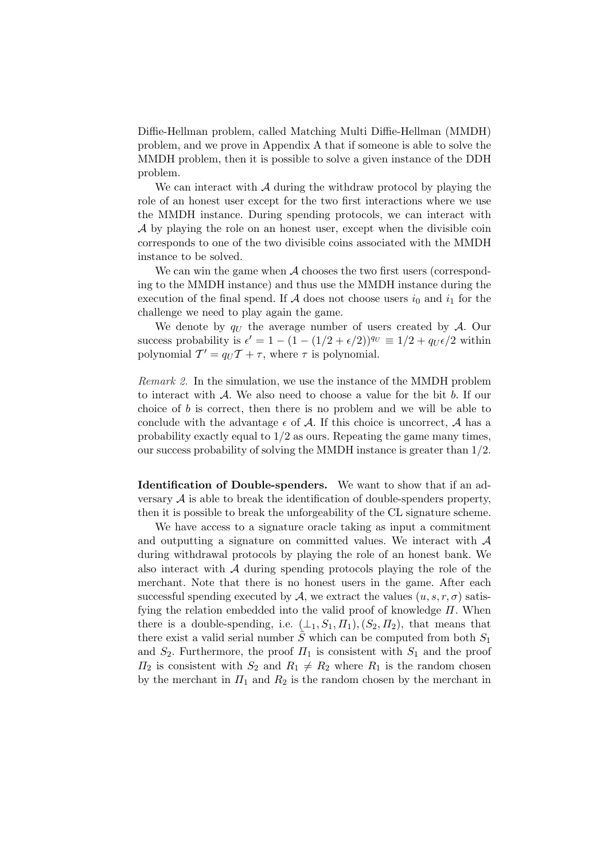Diffie-Hellman problem, called Matching Multi Diffie-Hellman (MMDH) problem, and we prove in Appendix A that if someone is able to solve the MMDH problem, then it is possible to solve a given instance of the DDH problem.

We can interact with  $A$  during the withdraw protocol by playing the role of an honest user except for the two first interactions where we use the MMDH instance. During spending protocols, we can interact with A by playing the role on an honest user, except when the divisible coin corresponds to one of the two divisible coins associated with the MMDH instance to be solved.

We can win the game when  $A$  chooses the two first users (corresponding to the MMDH instance) and thus use the MMDH instance during the execution of the final spend. If A does not choose users  $i_0$  and  $i_1$  for the challenge we need to play again the game.

We denote by  $q_U$  the average number of users created by A. Our success probability is  $\epsilon' = 1 - (1 - (1/2 + \epsilon/2))^{q_U} \equiv 1/2 + q_U \epsilon/2$  within polynomial  $T' = q_U T + \tau$ , where  $\tau$  is polynomial.

Remark 2. In the simulation, we use the instance of the MMDH problem to interact with  $A$ . We also need to choose a value for the bit  $b$ . If our choice of  $b$  is correct, then there is no problem and we will be able to conclude with the advantage  $\epsilon$  of A. If this choice is uncorrect, A has a probability exactly equal to  $1/2$  as ours. Repeating the game many times, our success probability of solving the MMDH instance is greater than 1/2.

Identification of Double-spenders. We want to show that if an adversary  $\mathcal A$  is able to break the identification of double-spenders property, then it is possible to break the unforgeability of the CL signature scheme.

We have access to a signature oracle taking as input a commitment and outputting a signature on committed values. We interact with A during withdrawal protocols by playing the role of an honest bank. We also interact with  $A$  during spending protocols playing the role of the merchant. Note that there is no honest users in the game. After each successful spending executed by A, we extract the values  $(u, s, r, \sigma)$  satisfying the relation embedded into the valid proof of knowledge  $\Pi$ . When there is a double-spending, i.e.  $(\perp_1, S_1, \Pi_1), (S_2, \Pi_2)$ , that means that there exist a valid serial number  $S$  which can be computed from both  $S_1$ and  $S_2$ . Furthermore, the proof  $\Pi_1$  is consistent with  $S_1$  and the proof  $\Pi_2$  is consistent with  $S_2$  and  $R_1 \neq R_2$  where  $R_1$  is the random chosen by the merchant in  $\Pi_1$  and  $R_2$  is the random chosen by the merchant in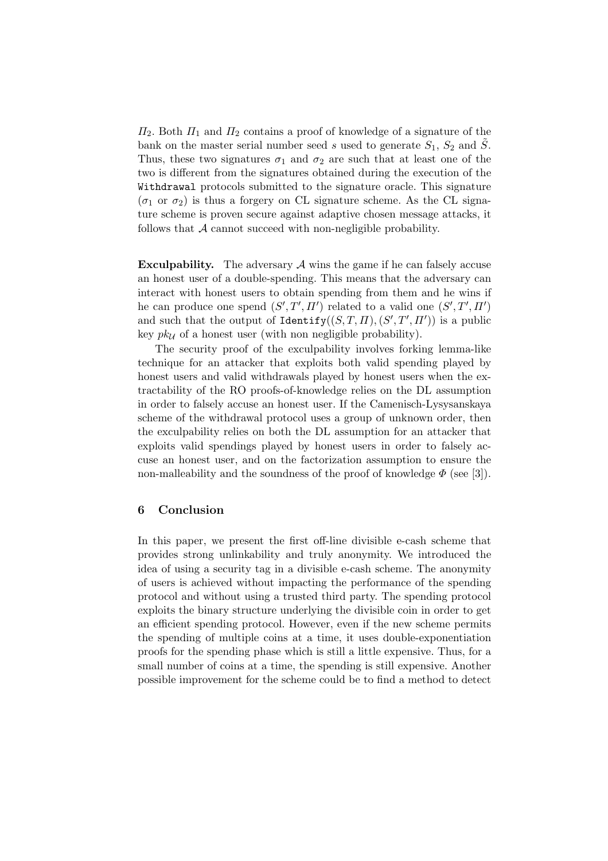$\Pi_2$ . Both  $\Pi_1$  and  $\Pi_2$  contains a proof of knowledge of a signature of the bank on the master serial number seed s used to generate  $S_1$ ,  $S_2$  and S. Thus, these two signatures  $\sigma_1$  and  $\sigma_2$  are such that at least one of the two is different from the signatures obtained during the execution of the Withdrawal protocols submitted to the signature oracle. This signature  $(\sigma_1 \text{ or } \sigma_2)$  is thus a forgery on CL signature scheme. As the CL signature scheme is proven secure against adaptive chosen message attacks, it follows that  $A$  cannot succeed with non-negligible probability.

**Exculpability.** The adversary  $A$  wins the game if he can falsely accuse an honest user of a double-spending. This means that the adversary can interact with honest users to obtain spending from them and he wins if he can produce one spend  $(S', T', \Pi')$  related to a valid one  $(S', T', \Pi')$ and such that the output of Identify $((S, T, \Pi), (S', T', \Pi'))$  is a public key  $pk_{\mathcal{U}}$  of a honest user (with non negligible probability).

The security proof of the exculpability involves forking lemma-like technique for an attacker that exploits both valid spending played by honest users and valid withdrawals played by honest users when the extractability of the RO proofs-of-knowledge relies on the DL assumption in order to falsely accuse an honest user. If the Camenisch-Lysysanskaya scheme of the withdrawal protocol uses a group of unknown order, then the exculpability relies on both the DL assumption for an attacker that exploits valid spendings played by honest users in order to falsely accuse an honest user, and on the factorization assumption to ensure the non-malleability and the soundness of the proof of knowledge  $\Phi$  (see [3]).

# 6 Conclusion

In this paper, we present the first off-line divisible e-cash scheme that provides strong unlinkability and truly anonymity. We introduced the idea of using a security tag in a divisible e-cash scheme. The anonymity of users is achieved without impacting the performance of the spending protocol and without using a trusted third party. The spending protocol exploits the binary structure underlying the divisible coin in order to get an efficient spending protocol. However, even if the new scheme permits the spending of multiple coins at a time, it uses double-exponentiation proofs for the spending phase which is still a little expensive. Thus, for a small number of coins at a time, the spending is still expensive. Another possible improvement for the scheme could be to find a method to detect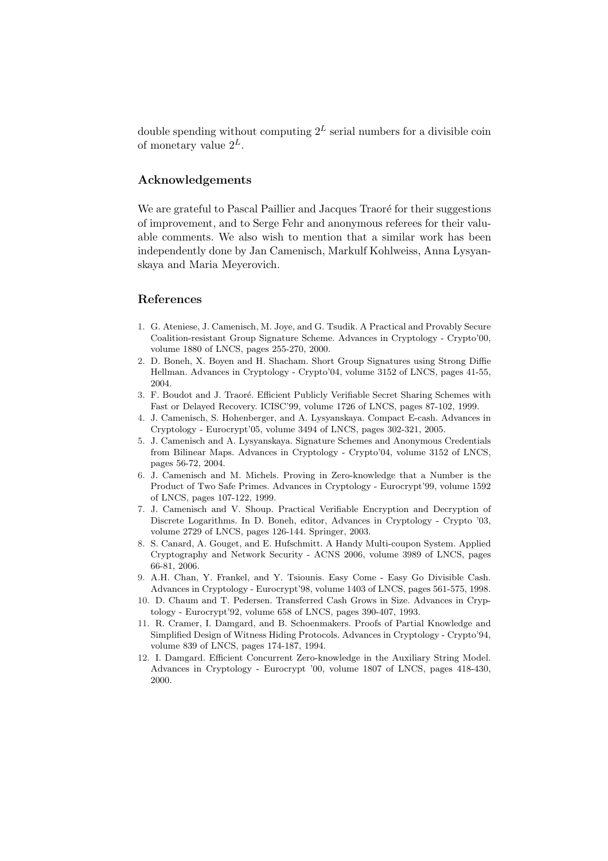double spending without computing  $2^L$  serial numbers for a divisible coin of monetary value  $2^L$ .

# Acknowledgements

We are grateful to Pascal Paillier and Jacques Traoré for their suggestions of improvement, and to Serge Fehr and anonymous referees for their valuable comments. We also wish to mention that a similar work has been independently done by Jan Camenisch, Markulf Kohlweiss, Anna Lysyanskaya and Maria Meyerovich.

# References

- 1. G. Ateniese, J. Camenisch, M. Joye, and G. Tsudik. A Practical and Provably Secure Coalition-resistant Group Signature Scheme. Advances in Cryptology - Crypto'00, volume 1880 of LNCS, pages 255-270, 2000.
- 2. D. Boneh, X. Boyen and H. Shacham. Short Group Signatures using Strong Diffie Hellman. Advances in Cryptology - Crypto'04, volume 3152 of LNCS, pages 41-55, 2004.
- 3. F. Boudot and J. Traoré. Efficient Publicly Verifiable Secret Sharing Schemes with Fast or Delayed Recovery. ICISC'99, volume 1726 of LNCS, pages 87-102, 1999.
- 4. J. Camenisch, S. Hohenberger, and A. Lysyanskaya. Compact E-cash. Advances in Cryptology - Eurocrypt'05, volume 3494 of LNCS, pages 302-321, 2005.
- 5. J. Camenisch and A. Lysyanskaya. Signature Schemes and Anonymous Credentials from Bilinear Maps. Advances in Cryptology - Crypto'04, volume 3152 of LNCS, pages 56-72, 2004.
- 6. J. Camenisch and M. Michels. Proving in Zero-knowledge that a Number is the Product of Two Safe Primes. Advances in Cryptology - Eurocrypt'99, volume 1592 of LNCS, pages 107-122, 1999.
- 7. J. Camenisch and V. Shoup. Practical Verifiable Encryption and Decryption of Discrete Logarithms. In D. Boneh, editor, Advances in Cryptology - Crypto '03, volume 2729 of LNCS, pages 126-144. Springer, 2003.
- 8. S. Canard, A. Gouget, and E. Hufschmitt. A Handy Multi-coupon System. Applied Cryptography and Network Security - ACNS 2006, volume 3989 of LNCS, pages 66-81, 2006.
- 9. A.H. Chan, Y. Frankel, and Y. Tsiounis. Easy Come Easy Go Divisible Cash. Advances in Cryptology - Eurocrypt'98, volume 1403 of LNCS, pages 561-575, 1998.
- 10. D. Chaum and T. Pedersen. Transferred Cash Grows in Size. Advances in Cryptology - Eurocrypt'92, volume 658 of LNCS, pages 390-407, 1993.
- 11. R. Cramer, I. Damgard, and B. Schoenmakers. Proofs of Partial Knowledge and Simplified Design of Witness Hiding Protocols. Advances in Cryptology - Crypto'94, volume 839 of LNCS, pages 174-187, 1994.
- 12. I. Damgard. Efficient Concurrent Zero-knowledge in the Auxiliary String Model. Advances in Cryptology - Eurocrypt '00, volume 1807 of LNCS, pages 418-430, 2000.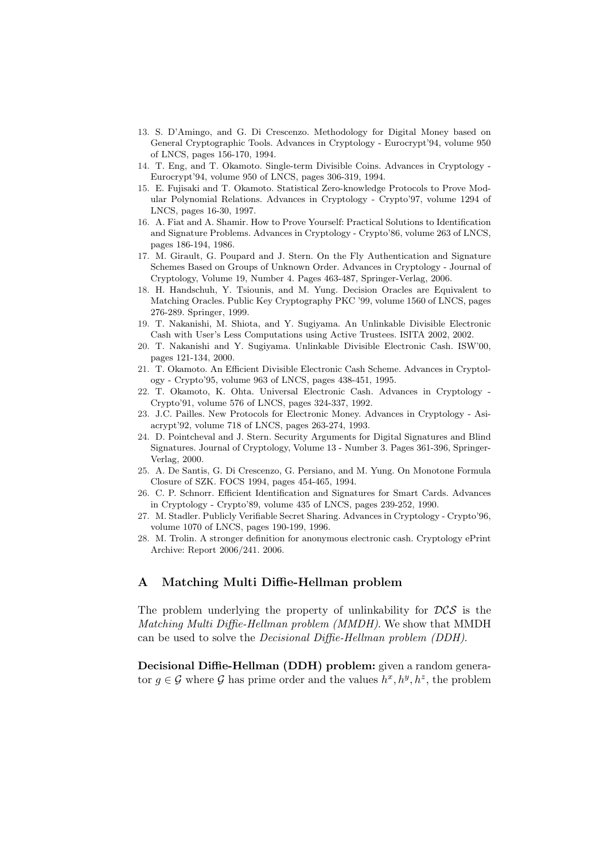- 13. S. D'Amingo, and G. Di Crescenzo. Methodology for Digital Money based on General Cryptographic Tools. Advances in Cryptology - Eurocrypt'94, volume 950 of LNCS, pages 156-170, 1994.
- 14. T. Eng, and T. Okamoto. Single-term Divisible Coins. Advances in Cryptology Eurocrypt'94, volume 950 of LNCS, pages 306-319, 1994.
- 15. E. Fujisaki and T. Okamoto. Statistical Zero-knowledge Protocols to Prove Modular Polynomial Relations. Advances in Cryptology - Crypto'97, volume 1294 of LNCS, pages 16-30, 1997.
- 16. A. Fiat and A. Shamir. How to Prove Yourself: Practical Solutions to Identification and Signature Problems. Advances in Cryptology - Crypto'86, volume 263 of LNCS, pages 186-194, 1986.
- 17. M. Girault, G. Poupard and J. Stern. On the Fly Authentication and Signature Schemes Based on Groups of Unknown Order. Advances in Cryptology - Journal of Cryptology, Volume 19, Number 4. Pages 463-487, Springer-Verlag, 2006.
- 18. H. Handschuh, Y. Tsiounis, and M. Yung. Decision Oracles are Equivalent to Matching Oracles. Public Key Cryptography PKC '99, volume 1560 of LNCS, pages 276-289. Springer, 1999.
- 19. T. Nakanishi, M. Shiota, and Y. Sugiyama. An Unlinkable Divisible Electronic Cash with User's Less Computations using Active Trustees. ISITA 2002, 2002.
- 20. T. Nakanishi and Y. Sugiyama. Unlinkable Divisible Electronic Cash. ISW'00, pages 121-134, 2000.
- 21. T. Okamoto. An Efficient Divisible Electronic Cash Scheme. Advances in Cryptology - Crypto'95, volume 963 of LNCS, pages 438-451, 1995.
- 22. T. Okamoto, K. Ohta. Universal Electronic Cash. Advances in Cryptology Crypto'91, volume 576 of LNCS, pages 324-337, 1992.
- 23. J.C. Pailles. New Protocols for Electronic Money. Advances in Cryptology Asiacrypt'92, volume 718 of LNCS, pages 263-274, 1993.
- 24. D. Pointcheval and J. Stern. Security Arguments for Digital Signatures and Blind Signatures. Journal of Cryptology, Volume 13 - Number 3. Pages 361-396, Springer-Verlag, 2000.
- 25. A. De Santis, G. Di Crescenzo, G. Persiano, and M. Yung. On Monotone Formula Closure of SZK. FOCS 1994, pages 454-465, 1994.
- 26. C. P. Schnorr. Efficient Identification and Signatures for Smart Cards. Advances in Cryptology - Crypto'89, volume 435 of LNCS, pages 239-252, 1990.
- 27. M. Stadler. Publicly Verifiable Secret Sharing. Advances in Cryptology Crypto'96, volume 1070 of LNCS, pages 190-199, 1996.
- 28. M. Trolin. A stronger definition for anonymous electronic cash. Cryptology ePrint Archive: Report 2006/241. 2006.

# A Matching Multi Diffie-Hellman problem

The problem underlying the property of unlinkability for  $DCS$  is the Matching Multi Diffie-Hellman problem (MMDH). We show that MMDH can be used to solve the Decisional Diffie-Hellman problem (DDH).

Decisional Diffie-Hellman (DDH) problem: given a random generator  $g \in \mathcal{G}$  where  $\mathcal{G}$  has prime order and the values  $h^x, h^y, h^z$ , the problem